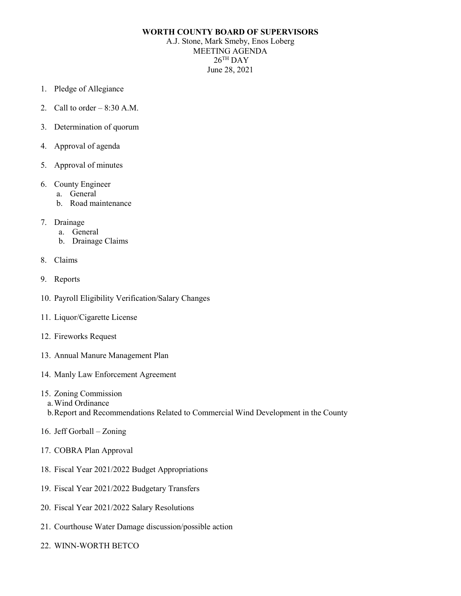## **WORTH COUNTY BOARD OF SUPERVISORS**

A.J. Stone, Mark Smeby, Enos Loberg MEETING AGENDA  $26$ <sup>TH</sup> DAY June 28, 2021

- 1. Pledge of Allegiance
- 2. Call to order  $-8:30$  A.M.
- 3. Determination of quorum
- 4. Approval of agenda
- 5. Approval of minutes
- 6. County Engineer
	- a. General
	- b. Road maintenance
- 7. Drainage
	- a. General
	- b. Drainage Claims
- 8. Claims
- 9. Reports
- 10. Payroll Eligibility Verification/Salary Changes
- 11. Liquor/Cigarette License
- 12. Fireworks Request
- 13. Annual Manure Management Plan
- 14. Manly Law Enforcement Agreement
- 15. Zoning Commission
	- a.Wind Ordinance
	- b.Report and Recommendations Related to Commercial Wind Development in the County
- 16. Jeff Gorball Zoning
- 17. COBRA Plan Approval
- 18. Fiscal Year 2021/2022 Budget Appropriations
- 19. Fiscal Year 2021/2022 Budgetary Transfers
- 20. Fiscal Year 2021/2022 Salary Resolutions
- 21. Courthouse Water Damage discussion/possible action
- 22. WINN-WORTH BETCO